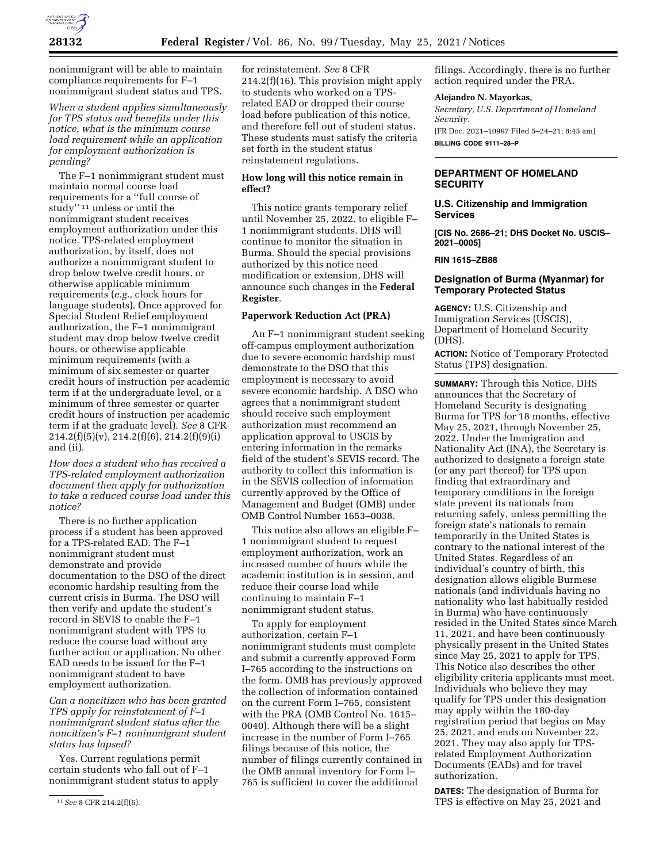

nonimmigrant will be able to maintain compliance requirements for F–1 nonimmigrant student status and TPS.

*When a student applies simultaneously for TPS status and benefits under this notice, what is the minimum course load requirement while an application for employment authorization is pending?* 

The F–1 nonimmigrant student must maintain normal course load requirements for a ''full course of study'' 11 unless or until the nonimmigrant student receives employment authorization under this notice. TPS-related employment authorization, by itself, does not authorize a nonimmigrant student to drop below twelve credit hours, or otherwise applicable minimum requirements (*e.g.,* clock hours for language students). Once approved for Special Student Relief employment authorization, the F–1 nonimmigrant student may drop below twelve credit hours, or otherwise applicable minimum requirements (with a minimum of six semester or quarter credit hours of instruction per academic term if at the undergraduate level, or a minimum of three semester or quarter credit hours of instruction per academic term if at the graduate level). *See* 8 CFR 214.2(f)(5)(v), 214.2(f)(6), 214.2(f)(9)(i) and (ii).

*How does a student who has received a TPS-related employment authorization document then apply for authorization to take a reduced course load under this notice?* 

There is no further application process if a student has been approved for a TPS-related EAD. The F–1 nonimmigrant student must demonstrate and provide documentation to the DSO of the direct economic hardship resulting from the current crisis in Burma. The DSO will then verify and update the student's record in SEVIS to enable the F–1 nonimmigrant student with TPS to reduce the course load without any further action or application. No other EAD needs to be issued for the F–1 nonimmigrant student to have employment authorization.

*Can a noncitizen who has been granted TPS apply for reinstatement of F–1 nonimmigrant student status after the noncitizen's F–1 nonimmigrant student status has lapsed?* 

Yes. Current regulations permit certain students who fall out of F–1 nonimmigrant student status to apply for reinstatement. *See* 8 CFR 214.2(f)(16). This provision might apply to students who worked on a TPSrelated EAD or dropped their course load before publication of this notice, and therefore fell out of student status. These students must satisfy the criteria set forth in the student status reinstatement regulations.

# **How long will this notice remain in effect?**

This notice grants temporary relief until November 25, 2022, to eligible F– 1 nonimmigrant students. DHS will continue to monitor the situation in Burma. Should the special provisions authorized by this notice need modification or extension, DHS will announce such changes in the **Federal Register**.

## **Paperwork Reduction Act (PRA)**

An F–1 nonimmigrant student seeking off-campus employment authorization due to severe economic hardship must demonstrate to the DSO that this employment is necessary to avoid severe economic hardship. A DSO who agrees that a nonimmigrant student should receive such employment authorization must recommend an application approval to USCIS by entering information in the remarks field of the student's SEVIS record. The authority to collect this information is in the SEVIS collection of information currently approved by the Office of Management and Budget (OMB) under OMB Control Number 1653–0038.

This notice also allows an eligible F– 1 nonimmigrant student to request employment authorization, work an increased number of hours while the academic institution is in session, and reduce their course load while continuing to maintain F–1 nonimmigrant student status.

To apply for employment authorization, certain F–1 nonimmigrant students must complete and submit a currently approved Form I–765 according to the instructions on the form. OMB has previously approved the collection of information contained on the current Form I–765, consistent with the PRA (OMB Control No. 1615– 0040). Although there will be a slight increase in the number of Form I–765 filings because of this notice, the number of filings currently contained in the OMB annual inventory for Form I– 765 is sufficient to cover the additional

filings. Accordingly, there is no further action required under the PRA.

### **Alejandro N. Mayorkas,**

*Secretary, U.S. Department of Homeland Security.*  [FR Doc. 2021–10997 Filed 5–24–21; 8:45 am] **BILLING CODE 9111–28–P** 

# **DEPARTMENT OF HOMELAND SECURITY**

### **U.S. Citizenship and Immigration Services**

**[CIS No. 2686–21; DHS Docket No. USCIS– 2021–0005]** 

**RIN 1615–ZB88** 

### **Designation of Burma (Myanmar) for Temporary Protected Status**

**AGENCY:** U.S. Citizenship and Immigration Services (USCIS), Department of Homeland Security (DHS).

**ACTION:** Notice of Temporary Protected Status (TPS) designation.

**SUMMARY:** Through this Notice, DHS announces that the Secretary of Homeland Security is designating Burma for TPS for 18 months, effective May 25, 2021, through November 25, 2022. Under the Immigration and Nationality Act (INA), the Secretary is authorized to designate a foreign state (or any part thereof) for TPS upon finding that extraordinary and temporary conditions in the foreign state prevent its nationals from returning safely, unless permitting the foreign state's nationals to remain temporarily in the United States is contrary to the national interest of the United States. Regardless of an individual's country of birth, this designation allows eligible Burmese nationals (and individuals having no nationality who last habitually resided in Burma) who have continuously resided in the United States since March 11, 2021, and have been continuously physically present in the United States since May 25, 2021 to apply for TPS. This Notice also describes the other eligibility criteria applicants must meet. Individuals who believe they may qualify for TPS under this designation may apply within the 180-day registration period that begins on May 25, 2021, and ends on November 22, 2021. They may also apply for TPSrelated Employment Authorization Documents (EADs) and for travel authorization.

**DATES:** The designation of Burma for TPS is effective on May 25, 2021 and

<sup>11</sup>*See* 8 CFR 214.2(f)(6).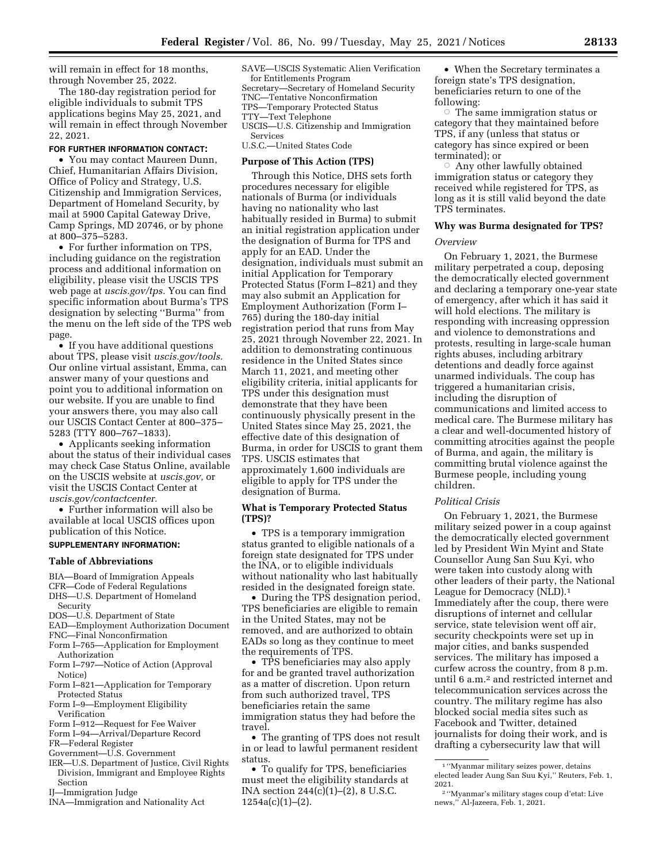will remain in effect for 18 months, through November 25, 2022.

The 180-day registration period for eligible individuals to submit TPS applications begins May 25, 2021, and will remain in effect through November 22, 2021.

#### **FOR FURTHER INFORMATION CONTACT:**

• You may contact Maureen Dunn, Chief, Humanitarian Affairs Division, Office of Policy and Strategy, U.S. Citizenship and Immigration Services, Department of Homeland Security, by mail at 5900 Capital Gateway Drive, Camp Springs, MD 20746, or by phone at 800–375–5283.

• For further information on TPS, including guidance on the registration process and additional information on eligibility, please visit the USCIS TPS web page at *uscis.gov/tps.* You can find specific information about Burma's TPS designation by selecting ''Burma'' from the menu on the left side of the TPS web page.

• If you have additional questions about TPS, please visit *uscis.gov/tools.*  Our online virtual assistant, Emma, can answer many of your questions and point you to additional information on our website. If you are unable to find your answers there, you may also call our USCIS Contact Center at 800–375– 5283 (TTY 800–767–1833).

• Applicants seeking information about the status of their individual cases may check Case Status Online, available on the USCIS website at *uscis.gov,* or visit the USCIS Contact Center at *uscis.gov/contactcenter.* 

• Further information will also be available at local USCIS offices upon publication of this Notice.

#### **SUPPLEMENTARY INFORMATION:**

#### **Table of Abbreviations**

BIA—Board of Immigration Appeals

- CFR—Code of Federal Regulations
- DHS—U.S. Department of Homeland Security
- DOS—U.S. Department of State
- EAD—Employment Authorization Document
- FNC—Final Nonconfirmation
- Form I–765—Application for Employment
- Authorization
- Form I–797—Notice of Action (Approval Notice)
- Form I–821—Application for Temporary Protected Status
- Form I–9—Employment Eligibility Verification
- Form I–912—Request for Fee Waiver
- Form I–94—Arrival/Departure Record
- FR—Federal Register
- Government—U.S. Government
- IER—U.S. Department of Justice, Civil Rights Division, Immigrant and Employee Rights Section
- IJ—Immigration Judge
- INA—Immigration and Nationality Act

SAVE—USCIS Systematic Alien Verification for Entitlements Program

Secretary—Secretary of Homeland Security TNC—Tentative Nonconfirmation TPS—Temporary Protected Status TTY—Text Telephone USCIS—U.S. Citizenship and Immigration Services

U.S.C.—United States Code

# **Purpose of This Action (TPS)**

Through this Notice, DHS sets forth procedures necessary for eligible nationals of Burma (or individuals having no nationality who last habitually resided in Burma) to submit an initial registration application under the designation of Burma for TPS and apply for an EAD. Under the designation, individuals must submit an initial Application for Temporary Protected Status (Form I–821) and they may also submit an Application for Employment Authorization (Form I– 765) during the 180-day initial registration period that runs from May 25, 2021 through November 22, 2021. In addition to demonstrating continuous residence in the United States since March 11, 2021, and meeting other eligibility criteria, initial applicants for TPS under this designation must demonstrate that they have been continuously physically present in the United States since May 25, 2021, the effective date of this designation of Burma, in order for USCIS to grant them TPS. USCIS estimates that approximately 1,600 individuals are eligible to apply for TPS under the designation of Burma.

#### **What is Temporary Protected Status (TPS)?**

• TPS is a temporary immigration status granted to eligible nationals of a foreign state designated for TPS under the INA, or to eligible individuals without nationality who last habitually resided in the designated foreign state.

• During the TPS designation period, TPS beneficiaries are eligible to remain in the United States, may not be removed, and are authorized to obtain EADs so long as they continue to meet the requirements of TPS.

• TPS beneficiaries may also apply for and be granted travel authorization as a matter of discretion. Upon return from such authorized travel, TPS beneficiaries retain the same immigration status they had before the travel.

• The granting of TPS does not result in or lead to lawful permanent resident status.

• To qualify for TPS, beneficiaries must meet the eligibility standards at INA section 244(c)(1)–(2), 8 U.S.C.  $1254a(c)(1)–(2)$ .

• When the Secretary terminates a foreign state's TPS designation, beneficiaries return to one of the following:

 $\circ$  The same immigration status or category that they maintained before TPS, if any (unless that status or category has since expired or been terminated); or

 $\circ$  Any other lawfully obtained immigration status or category they received while registered for TPS, as long as it is still valid beyond the date TPS terminates.

#### **Why was Burma designated for TPS?**

#### *Overview*

On February 1, 2021, the Burmese military perpetrated a coup, deposing the democratically elected government and declaring a temporary one-year state of emergency, after which it has said it will hold elections. The military is responding with increasing oppression and violence to demonstrations and protests, resulting in large-scale human rights abuses, including arbitrary detentions and deadly force against unarmed individuals. The coup has triggered a humanitarian crisis, including the disruption of communications and limited access to medical care. The Burmese military has a clear and well-documented history of committing atrocities against the people of Burma, and again, the military is committing brutal violence against the Burmese people, including young children.

#### *Political Crisis*

On February 1, 2021, the Burmese military seized power in a coup against the democratically elected government led by President Win Myint and State Counsellor Aung San Suu Kyi, who were taken into custody along with other leaders of their party, the National League for Democracy (NLD).1 Immediately after the coup, there were disruptions of internet and cellular service, state television went off air, security checkpoints were set up in major cities, and banks suspended services. The military has imposed a curfew across the country, from 8 p.m. until 6 a.m.<sup>2</sup> and restricted internet and telecommunication services across the country. The military regime has also blocked social media sites such as Facebook and Twitter, detained journalists for doing their work, and is drafting a cybersecurity law that will

<sup>1</sup> ''Myanmar military seizes power, detains elected leader Aung San Suu Kyi,'' Reuters, Feb. 1, 2021.

<sup>2</sup> ''Myanmar's military stages coup d'etat: Live news,'' Al-Jazeera, Feb. 1, 2021.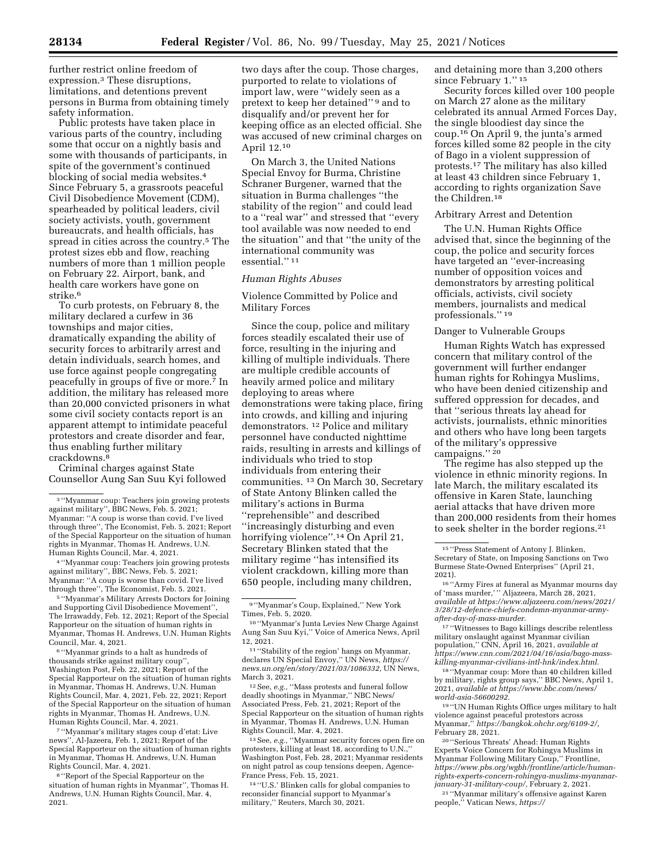further restrict online freedom of expression.3 These disruptions, limitations, and detentions prevent persons in Burma from obtaining timely safety information.

Public protests have taken place in various parts of the country, including some that occur on a nightly basis and some with thousands of participants, in spite of the government's continued blocking of social media websites.4 Since February 5, a grassroots peaceful Civil Disobedience Movement (CDM), spearheaded by political leaders, civil society activists, youth, government bureaucrats, and health officials, has spread in cities across the country.5 The protest sizes ebb and flow, reaching numbers of more than 1 million people on February 22. Airport, bank, and health care workers have gone on strike.6

To curb protests, on February 8, the military declared a curfew in 36 townships and major cities, dramatically expanding the ability of security forces to arbitrarily arrest and detain individuals, search homes, and use force against people congregating peacefully in groups of five or more.7 In addition, the military has released more than 20,000 convicted prisoners in what some civil society contacts report is an apparent attempt to intimidate peaceful protestors and create disorder and fear, thus enabling further military crackdowns.8

Criminal charges against State Counsellor Aung San Suu Kyi followed

4 ''Myanmar coup: Teachers join growing protests against military'', BBC News, Feb. 5. 2021; Myanmar: ''A coup is worse than covid. I've lived through three'', The Economist, Feb. 5. 2021.

5 ''Myanmar's Military Arrests Doctors for Joining and Supporting Civil Disobedience Movement'', The Irrawaddy, Feb. 12, 2021; Report of the Special Rapporteur on the situation of human rights in Myanmar, Thomas H. Andrews, U.N. Human Rights Council, Mar. 4, 2021.

6 ''Myanmar grinds to a halt as hundreds of thousands strike against military coup'', Washington Post, Feb. 22, 2021; Report of the Special Rapporteur on the situation of human rights in Myanmar, Thomas H. Andrews, U.N. Human Rights Council, Mar. 4, 2021, Feb. 22, 2021; Report of the Special Rapporteur on the situation of human rights in Myanmar, Thomas H. Andrews, U.N. Human Rights Council, Mar. 4, 2021.

7 ''Myanmar's military stages coup d'etat: Live news'', Al-Jazeera, Feb. 1, 2021; Report of the Special Rapporteur on the situation of human rights in Myanmar, Thomas H. Andrews, U.N. Human Rights Council, Mar. 4, 2021.

8 ''Report of the Special Rapporteur on the situation of human rights in Myanmar'', Thomas H. Andrews, U.N. Human Rights Council, Mar. 4, 2021.

two days after the coup. Those charges, purported to relate to violations of import law, were ''widely seen as a pretext to keep her detained'' 9 and to disqualify and/or prevent her for keeping office as an elected official. She was accused of new criminal charges on April 12.10

On March 3, the United Nations Special Envoy for Burma, Christine Schraner Burgener, warned that the situation in Burma challenges ''the stability of the region'' and could lead to a ''real war'' and stressed that ''every tool available was now needed to end the situation'' and that ''the unity of the international community was essential.'' 11

#### *Human Rights Abuses*

Violence Committed by Police and Military Forces

Since the coup, police and military forces steadily escalated their use of force, resulting in the injuring and killing of multiple individuals. There are multiple credible accounts of heavily armed police and military deploying to areas where demonstrations were taking place, firing into crowds, and killing and injuring demonstrators. 12 Police and military personnel have conducted nighttime raids, resulting in arrests and killings of individuals who tried to stop individuals from entering their communities. 13 On March 30, Secretary of State Antony Blinken called the military's actions in Burma ''reprehensible'' and described ''increasingly disturbing and even horrifying violence''.14 On April 21, Secretary Blinken stated that the military regime ''has intensified its violent crackdown, killing more than 650 people, including many children,

12See, *e.g.,* ''Mass protests and funeral follow deadly shootings in Myanmar,'' NBC News/ Associated Press, Feb. 21, 2021; Report of the Special Rapporteur on the situation of human rights in Myanmar, Thomas H. Andrews, U.N. Human Rights Council, Mar. 4, 2021.

13See, *e.g.,* ''Myanmar security forces open fire on protesters, killing at least 18, according to U.N., Washington Post, Feb. 28, 2021; Myanmar residents on night patrol as coup tensions deepen, Agence-France Press, Feb. 15, 2021.

14 ''U.S.' Blinken calls for global companies to reconsider financial support to Myanmar's military,'' Reuters, March 30, 2021.

and detaining more than 3,200 others since February 1.'' 15

Security forces killed over 100 people on March 27 alone as the military celebrated its annual Armed Forces Day, the single bloodiest day since the coup.16 On April 9, the junta's armed forces killed some 82 people in the city of Bago in a violent suppression of protests.17 The military has also killed at least 43 children since February 1, according to rights organization Save the Children.18

## Arbitrary Arrest and Detention

The U.N. Human Rights Office advised that, since the beginning of the coup, the police and security forces have targeted an ''ever-increasing number of opposition voices and demonstrators by arresting political officials, activists, civil society members, journalists and medical professionals.'' 19

#### Danger to Vulnerable Groups

Human Rights Watch has expressed concern that military control of the government will further endanger human rights for Rohingya Muslims, who have been denied citizenship and suffered oppression for decades, and that ''serious threats lay ahead for activists, journalists, ethnic minorities and others who have long been targets of the military's oppressive campaigns."<sup>20</sup>

The regime has also stepped up the violence in ethnic minority regions. In late March, the military escalated its offensive in Karen State, launching aerial attacks that have driven more than 200,000 residents from their homes to seek shelter in the border regions.21

17 ''Witnesses to Bago killings describe relentless military onslaught against Myanmar civilian population*,*'' CNN, April 16, 2021, *available at [https://www.cnn.com/2021/04/16/asia/bago-mass](https://www.cnn.com/2021/04/16/asia/bago-mass-killing-myanmar-civilians-intl-hnk/index.html)[killing-myanmar-civilians-intl-hnk/index.html.](https://www.cnn.com/2021/04/16/asia/bago-mass-killing-myanmar-civilians-intl-hnk/index.html)* 

18 ''Myanmar coup: More than 40 children killed by military, rights group says,'' BBC News, April 1, 2021, *available at [https://www.bbc.com/news/](https://www.bbc.com/news/world-asia-56600292)  [world-asia-56600292.](https://www.bbc.com/news/world-asia-56600292)* 

19 ''UN Human Rights Office urges military to halt violence against peaceful protestors across Myanmar,'' *[https://bangkok.ohchr.org/6109-2/,](https://bangkok.ohchr.org/6109-2/)*  February 28, 2021.<br><sup>20</sup> "Serious Threats' Ahead: Human Rights

Experts Voice Concern for Rohingya Muslims in Myanmar Following Military Coup,'' Frontline, *https://www.pbs.org/wgbh/frontline/article/human[rights-experts-concern-rohingya-muslims-myanmar-](https://www.pbs.org/wgbh/frontline/article/human-rights-experts-concern-rohingya-muslims-myanmar-january-31-military-coup/)*

<sup>[21](https://www.pbs.org/wgbh/frontline/article/human-rights-experts-concern-rohingya-muslims-myanmar-january-31-military-coup/)</sup> "Myanmar military's offensive against Karen people,'' Vatican News, *[https://](https://www.vaticannews.va/en/world/news/2021-04/myanmar-military-strikes-karen-people-displaced.html)* 

<sup>3</sup> ''Myanmar coup: Teachers join growing protests against military'', BBC News, Feb. 5. 2021; Myanmar: ''A coup is worse than covid. I've lived through three'', The Economist, Feb. 5. 2021; Report of the Special Rapporteur on the situation of human rights in Myanmar, Thomas H. Andrews, U.N. Human Rights Council, Mar. 4, 2021.

<sup>9</sup> ''Myanmar's Coup, Explained,'' New York Times, Feb. 5, 2020.

<sup>10</sup> ''Myanmar's Junta Levies New Charge Against Aung San Suu Kyi,'' Voice of America News, April 12, 2021.

<sup>11</sup> ''Stability of the region' hangs on Myanmar, declares UN Special Envoy,'' UN News, *[https://](https://news.un.org/en/story/2021/03/1086332) [news.un.org/en/story/2021/03/1086332,](https://news.un.org/en/story/2021/03/1086332)* UN News, March 3, 2021.

<sup>15</sup> ''Press Statement of Antony J. Blinken, Secretary of State, on Imposing Sanctions on Two Burmese State-Owned Enterprises'' (April 21,

<sup>2021). 16</sup> ''Army Fires at funeral as Myanmar mourns day of 'mass murder,' '' Aljazeera, March 28, 2021, *available at [https://www.aljazeera.com/news/2021/](https://www.aljazeera.com/news/2021/3/28/12-defence-chiefs-condemn-myanmar-army-after-day-of-mass-murder)  [3/28/12-defence-chiefs-condemn-myanmar-army](https://www.aljazeera.com/news/2021/3/28/12-defence-chiefs-condemn-myanmar-army-after-day-of-mass-murder)[after-day-of-mass-murder.](https://www.aljazeera.com/news/2021/3/28/12-defence-chiefs-condemn-myanmar-army-after-day-of-mass-murder)*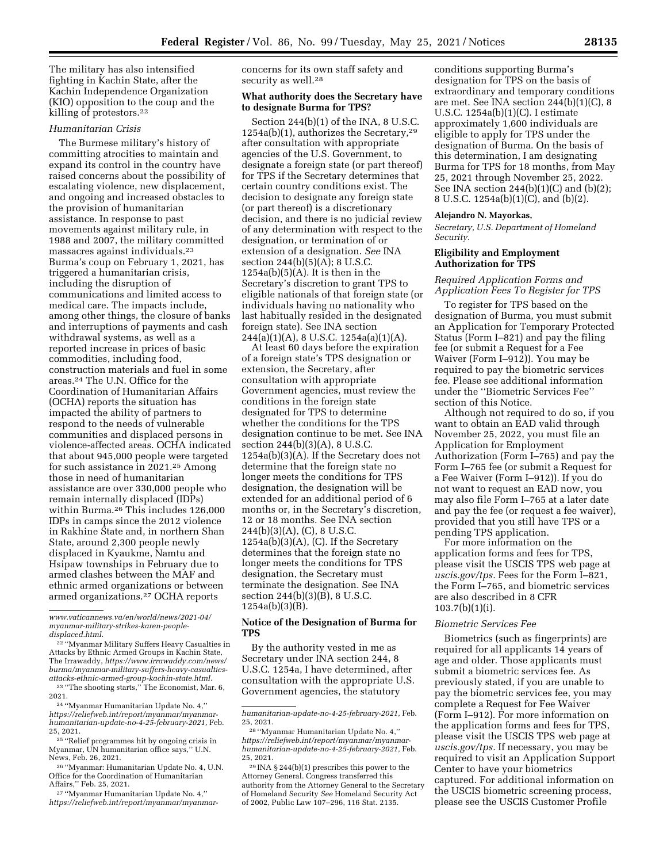The military has also intensified fighting in Kachin State, after the Kachin Independence Organization (KIO) opposition to the coup and the killing of protestors.22

# *Humanitarian Crisis*

The Burmese military's history of committing atrocities to maintain and expand its control in the country have raised concerns about the possibility of escalating violence, new displacement, and ongoing and increased obstacles to the provision of humanitarian assistance. In response to past movements against military rule, in 1988 and 2007, the military committed massacres against individuals.23 Burma's coup on February 1, 2021, has triggered a humanitarian crisis, including the disruption of communications and limited access to medical care. The impacts include, among other things, the closure of banks and interruptions of payments and cash withdrawal systems, as well as a reported increase in prices of basic commodities, including food, construction materials and fuel in some areas.24 The U.N. Office for the Coordination of Humanitarian Affairs (OCHA) reports the situation has impacted the ability of partners to respond to the needs of vulnerable communities and displaced persons in violence-affected areas. OCHA indicated that about 945,000 people were targeted for such assistance in 2021.25 Among those in need of humanitarian assistance are over 330,000 people who remain internally displaced (IDPs) within Burma.<sup>26</sup> This includes 126,000 IDPs in camps since the 2012 violence in Rakhine State and, in northern Shan State, around 2,300 people newly displaced in Kyaukme, Namtu and Hsipaw townships in February due to armed clashes between the MAF and ethnic armed organizations or between armed organizations.27 OCHA reports

*[www.vaticannews.va/en/world/news/2021-04/](https://www.vaticannews.va/en/world/news/2021-04/myanmar-military-strikes-karen-people-displaced.html)  [myanmar-military-strikes-karen-people](https://www.vaticannews.va/en/world/news/2021-04/myanmar-military-strikes-karen-people-displaced.html)[displaced.html.](https://www.vaticannews.va/en/world/news/2021-04/myanmar-military-strikes-karen-people-displaced.html)* 

22 ''Myanmar Military Suffers Heavy Casualties in Attacks by Ethnic Armed Groups in Kachin State, The Irrawaddy, *[https://www.irrawaddy.com/news/](https://www.irrawaddy.com/news/burma/myanmar-military-suffers-heavy-casualties-attacks-ethnic-armed-group-kachin-state.html) [burma/myanmar-military-suffers-heavy-casualties](https://www.irrawaddy.com/news/burma/myanmar-military-suffers-heavy-casualties-attacks-ethnic-armed-group-kachin-state.html)[attacks-ethnic-armed-group-kachin-state.html.](https://www.irrawaddy.com/news/burma/myanmar-military-suffers-heavy-casualties-attacks-ethnic-armed-group-kachin-state.html)* 

 $^{23}$  "The shooting starts," The Economist, Mar. 6, 2021.

<sup>24</sup> "Myanmar Humanitarian Update No. 4," *[https://reliefweb.int/report/myanmar/myanmar](https://reliefweb.int/report/myanmar/myanmar-humanitarian-update-no-4-25-february-2021)[humanitarian-update-no-4-25-february-2021,](https://reliefweb.int/report/myanmar/myanmar-humanitarian-update-no-4-25-february-2021)* Feb.

25, 2021.<br><sup>25</sup> ''Relief programmes hit by ongoing crisis in Myanmar, UN humanitarian office says,'' U.N.

<sup>26</sup> "Myanmar: Humanitarian Update No. 4, U.N. Office for the Coordination of Humanitarian<br>Affairs," Feb. 25, 2021.

<sup>27</sup> "Myanmar Humanitarian Update No. 4," *[https://reliefweb.int/report/myanmar/myanmar-](https://reliefweb.int/report/myanmar/myanmar-humanitarian-update-no-4-25-february-2021)* concerns for its own staff safety and security as well.<sup>28</sup>

## **What authority does the Secretary have to designate Burma for TPS?**

Section 244(b)(1) of the INA, 8 U.S.C. 1254a(b)(1), authorizes the Secretary,29 after consultation with appropriate agencies of the U.S. Government, to designate a foreign state (or part thereof) for TPS if the Secretary determines that certain country conditions exist. The decision to designate any foreign state (or part thereof) is a discretionary decision, and there is no judicial review of any determination with respect to the designation, or termination of or extension of a designation. *See* INA section  $244(b)(5)(A)$ ; 8 U.S.C.  $1254a(b)(5)(A)$ . It is then in the Secretary's discretion to grant TPS to eligible nationals of that foreign state (or individuals having no nationality who last habitually resided in the designated foreign state). See INA section 244(a)(1)(A), 8 U.S.C. 1254a(a)(1)(A).

At least 60 days before the expiration of a foreign state's TPS designation or extension, the Secretary, after consultation with appropriate Government agencies, must review the conditions in the foreign state designated for TPS to determine whether the conditions for the TPS designation continue to be met. See INA section 244(b)(3)(A), 8 U.S.C. 1254a(b)(3)(A). If the Secretary does not determine that the foreign state no longer meets the conditions for TPS designation, the designation will be extended for an additional period of 6 months or, in the Secretary's discretion, 12 or 18 months. See INA section 244(b)(3)(A), (C), 8 U.S.C. 1254a(b)(3)(A), (C). If the Secretary determines that the foreign state no longer meets the conditions for TPS designation, the Secretary must terminate the designation. See INA section 244(b)(3)(B), 8 U.S.C. 1254a(b)(3)(B).

### **Notice of the Designation of Burma for TPS**

By the authority vested in me as Secretary under INA section 244, 8 U.S.C. 1254a, I have determined, after consultation with the appropriate U.S. Government agencies, the statutory

conditions supporting Burma's designation for TPS on the basis of extraordinary and temporary conditions are met. See INA section 244(b)(1)(C), 8 U.S.C. 1254a(b)(1)(C). I estimate approximately 1,600 individuals are eligible to apply for TPS under the designation of Burma. On the basis of this determination, I am designating Burma for TPS for 18 months, from May 25, 2021 through November 25, 2022. See INA section 244(b)(1)(C) and (b)(2); 8 U.S.C. 1254a(b)(1)(C), and (b)(2).

#### **Alejandro N. Mayorkas,**

*Secretary, U.S. Department of Homeland Security.* 

# **Eligibility and Employment Authorization for TPS**

# *Required Application Forms and Application Fees To Register for TPS*

To register for TPS based on the designation of Burma, you must submit an Application for Temporary Protected Status (Form I–821) and pay the filing fee (or submit a Request for a Fee Waiver (Form I–912)). You may be required to pay the biometric services fee. Please see additional information under the ''Biometric Services Fee'' section of this Notice.

Although not required to do so, if you want to obtain an EAD valid through November 25, 2022, you must file an Application for Employment Authorization (Form I–765) and pay the Form I–765 fee (or submit a Request for a Fee Waiver (Form I–912)). If you do not want to request an EAD now, you may also file Form I–765 at a later date and pay the fee (or request a fee waiver), provided that you still have TPS or a pending TPS application.

For more information on the application forms and fees for TPS, please visit the USCIS TPS web page at *uscis.gov/tps.* Fees for the Form I–821, the Form I–765, and biometric services are also described in 8 CFR  $103.7(b)(1)(i)$ .

#### *Biometric Services Fee*

Biometrics (such as fingerprints) are required for all applicants 14 years of age and older. Those applicants must submit a biometric services fee. As previously stated, if you are unable to pay the biometric services fee, you may complete a Request for Fee Waiver (Form I–912). For more information on the application forms and fees for TPS, please visit the USCIS TPS web page at *uscis.gov/tps.* If necessary, you may be required to visit an Application Support Center to have your biometrics captured. For additional information on the USCIS biometric screening process, please see the USCIS Customer Profile

*[humanitarian-update-no-4-25-february-2021,](https://reliefweb.int/report/myanmar/myanmar-humanitarian-update-no-4-25-february-2021)* Feb. 25, 2021.

<sup>28</sup> ''Myanmar Humanitarian Update No. 4,'' *[https://reliefweb.int/report/myanmar/myanmar](https://reliefweb.int/report/myanmar/myanmar-humanitarian-update-no-4-25-february-2021)[humanitarian-update-no-4-25-february-2021,](https://reliefweb.int/report/myanmar/myanmar-humanitarian-update-no-4-25-february-2021)* Feb. 25, 2021.

<sup>29</sup> INA § 244(b)(1) prescribes this power to the Attorney General. Congress transferred this authority from the Attorney General to the Secretary of Homeland Security *See* Homeland Security Act of 2002, Public Law 107–296, 116 Stat. 2135.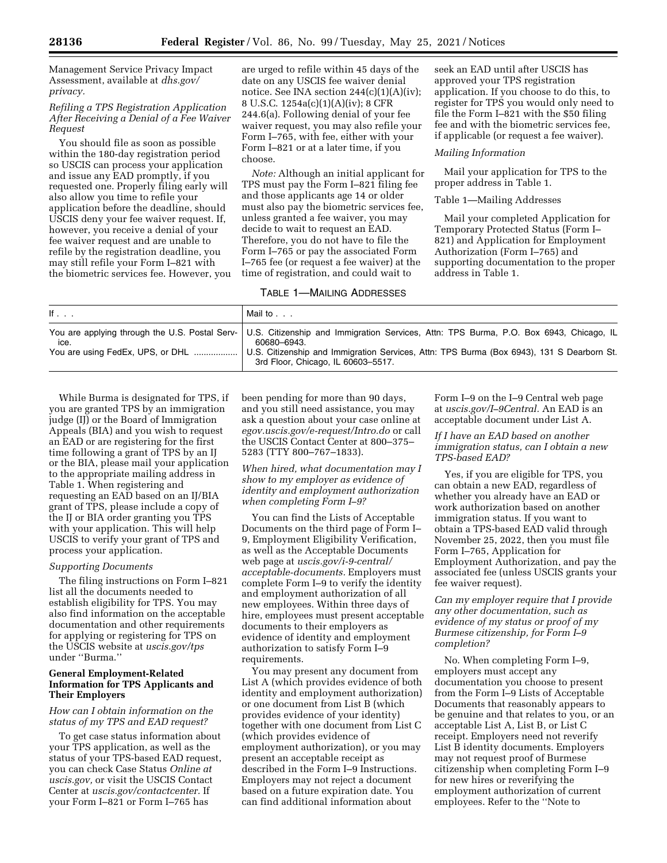Management Service Privacy Impact Assessment, available at *dhs.gov/ privacy.* 

*Refiling a TPS Registration Application After Receiving a Denial of a Fee Waiver Request* 

You should file as soon as possible within the 180-day registration period so USCIS can process your application and issue any EAD promptly, if you requested one. Properly filing early will also allow you time to refile your application before the deadline, should USCIS deny your fee waiver request. If, however, you receive a denial of your fee waiver request and are unable to refile by the registration deadline, you may still refile your Form I–821 with the biometric services fee. However, you are urged to refile within 45 days of the date on any USCIS fee waiver denial notice. See INA section  $244(c)(1)(A)(iv)$ ; 8 U.S.C. 1254a(c)(1)(A)(iv); 8 CFR 244.6(a). Following denial of your fee waiver request, you may also refile your Form I–765, with fee, either with your Form I–821 or at a later time, if you choose.

*Note:* Although an initial applicant for TPS must pay the Form I–821 filing fee and those applicants age 14 or older must also pay the biometric services fee, unless granted a fee waiver, you may decide to wait to request an EAD. Therefore, you do not have to file the Form I–765 or pay the associated Form I–765 fee (or request a fee waiver) at the time of registration, and could wait to

## TABLE 1—MAILING ADDRESSES

seek an EAD until after USCIS has approved your TPS registration application. If you choose to do this, to register for TPS you would only need to file the Form I–821 with the \$50 filing fee and with the biometric services fee, if applicable (or request a fee waiver).

#### *Mailing Information*

Mail your application for TPS to the proper address in Table 1.

#### Table 1—Mailing Addresses

Mail your completed Application for Temporary Protected Status (Form I– 821) and Application for Employment Authorization (Form I–765) and supporting documentation to the proper address in Table 1.

| lf.,                                     | Mail to                                                                                                                                                                                                                                                                                   |
|------------------------------------------|-------------------------------------------------------------------------------------------------------------------------------------------------------------------------------------------------------------------------------------------------------------------------------------------|
| ice.<br>You are using FedEx, UPS, or DHL | You are applying through the U.S. Postal Serv-   U.S. Citizenship and Immigration Services, Attn: TPS Burma, P.O. Box 6943, Chicago, IL<br>60680–6943.<br>U.S. Citizenship and Immigration Services, Attn: TPS Burma (Box 6943), 131 S Dearborn St.<br>3rd Floor, Chicago, IL 60603-5517. |

While Burma is designated for TPS, if you are granted TPS by an immigration judge (IJ) or the Board of Immigration Appeals (BIA) and you wish to request an EAD or are registering for the first time following a grant of TPS by an IJ or the BIA, please mail your application to the appropriate mailing address in Table 1. When registering and requesting an EAD based on an IJ/BIA grant of TPS, please include a copy of the IJ or BIA order granting you TPS with your application. This will help USCIS to verify your grant of TPS and process your application.

#### *Supporting Documents*

The filing instructions on Form I–821 list all the documents needed to establish eligibility for TPS. You may also find information on the acceptable documentation and other requirements for applying or registering for TPS on the USCIS website at *uscis.gov/tps*  under ''Burma.''

# **General Employment-Related Information for TPS Applicants and Their Employers**

# *How can I obtain information on the status of my TPS and EAD request?*

To get case status information about your TPS application, as well as the status of your TPS-based EAD request, you can check Case Status *Online at uscis.gov,* or visit the USCIS Contact Center at *uscis.gov/contactcenter.* If your Form I–821 or Form I–765 has

been pending for more than 90 days, and you still need assistance, you may ask a question about your case online at *egov.uscis.gov/e-request/Intro.do* or call the USCIS Contact Center at 800–375– 5283 (TTY 800–767–1833).

*When hired, what documentation may I show to my employer as evidence of identity and employment authorization when completing Form I–9?* 

You can find the Lists of Acceptable Documents on the third page of Form I– 9, Employment Eligibility Verification, as well as the Acceptable Documents web page at *uscis.gov/i-9-central/ acceptable-documents.* Employers must complete Form I–9 to verify the identity and employment authorization of all new employees. Within three days of hire, employees must present acceptable documents to their employers as evidence of identity and employment authorization to satisfy Form I–9 requirements.

You may present any document from List A (which provides evidence of both identity and employment authorization) or one document from List B (which provides evidence of your identity) together with one document from List C (which provides evidence of employment authorization), or you may present an acceptable receipt as described in the Form I–9 Instructions. Employers may not reject a document based on a future expiration date. You can find additional information about

Form I–9 on the I–9 Central web page at *uscis.gov/I–9Central.* An EAD is an acceptable document under List A.

*If I have an EAD based on another immigration status, can I obtain a new TPS-based EAD?* 

Yes, if you are eligible for TPS, you can obtain a new EAD, regardless of whether you already have an EAD or work authorization based on another immigration status. If you want to obtain a TPS-based EAD valid through November 25, 2022, then you must file Form I–765, Application for Employment Authorization, and pay the associated fee (unless USCIS grants your fee waiver request).

*Can my employer require that I provide any other documentation, such as evidence of my status or proof of my Burmese citizenship, for Form I–9 completion?* 

No. When completing Form I–9, employers must accept any documentation you choose to present from the Form I–9 Lists of Acceptable Documents that reasonably appears to be genuine and that relates to you, or an acceptable List A, List B, or List C receipt. Employers need not reverify List B identity documents. Employers may not request proof of Burmese citizenship when completing Form I–9 for new hires or reverifying the employment authorization of current employees. Refer to the ''Note to